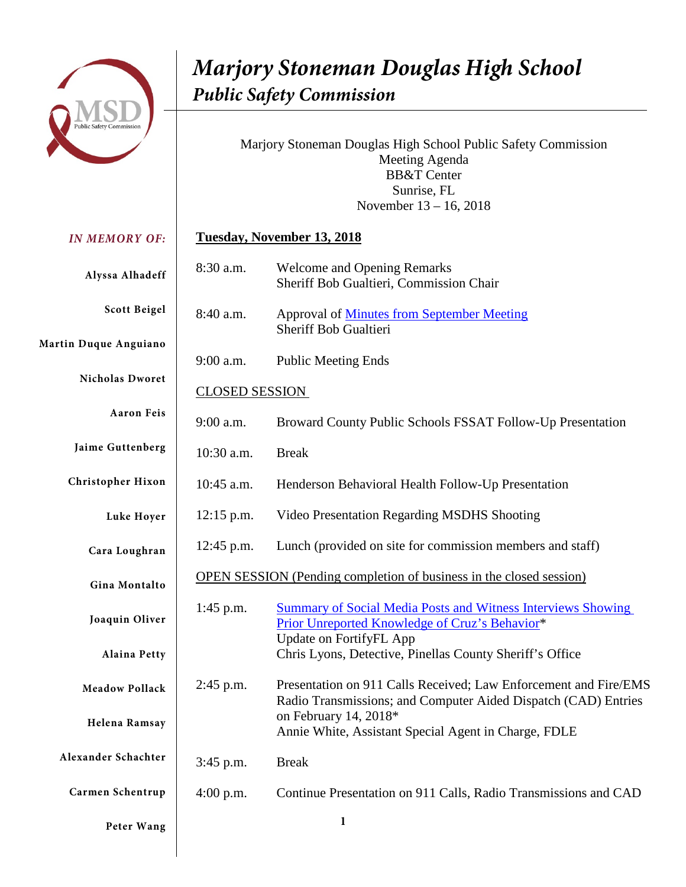

Marjory Stoneman Douglas High School Public Safety Commission Meeting Agenda BB&T Center Sunrise, FL November 13 – 16, 2018

#### *IN MEMORY OF:* **Alyssa Alhadeff Scott Beigel Martin Duque Anguiano Nicholas Dworet Aaron Feis Jaime Guttenberg Christopher Hixon Luke Hoyer Cara Loughran Gina Montalto Joaquin Oliver Alaina Petty Meadow Pollack Helena Ramsay Alexander Schachter Carmen Schentrup Tuesday, November 13, 2018** 8:30 a.m. Welcome and Opening Remarks Sheriff Bob Gualtieri, Commission Chair 8:40 a.m. Approval of [Minutes from September Meeting](http://idev10.myfdle.net/MSDHS/Meetings/November-Meeting-Documents/Proposed-September-Meeting-Minutes.aspx) Sheriff Bob Gualtieri 9:00 a.m. Public Meeting Ends CLOSED SESSION 9:00 a.m. Broward County Public Schools FSSAT Follow-Up Presentation 10:30 a.m. Break 10:45 a.m. Henderson Behavioral Health Follow-Up Presentation 12:15 p.m. Video Presentation Regarding MSDHS Shooting 12:45 p.m. Lunch (provided on site for commission members and staff) OPEN SESSION (Pending completion of business in the closed session) 1:45 p.m. [Summary of Social Media Posts and Witness Interviews](http://idev10.myfdle.net/MSDHS/Meetings/November-Meeting-Documents/Nov-13-145pm-Cruz-Behavior-Chris-Lyons.aspx) Showing [Prior Unreported Knowledge of Cruz's Behavior\\*](http://idev10.myfdle.net/MSDHS/Meetings/November-Meeting-Documents/Nov-13-145pm-Cruz-Behavior-Chris-Lyons.aspx) Update on FortifyFL App Chris Lyons, Detective, Pinellas County Sheriff's Office 2:45 p.m. Presentation on 911 Calls Received; Law Enforcement and Fire/EMS Radio Transmissions; and Computer Aided Dispatch (CAD) Entries on February 14, 2018\* Annie White, Assistant Special Agent in Charge, FDLE 3:45 p.m. Break 4:00 p.m. Continue Presentation on 911 Calls, Radio Transmissions and CAD

**Peter Wang**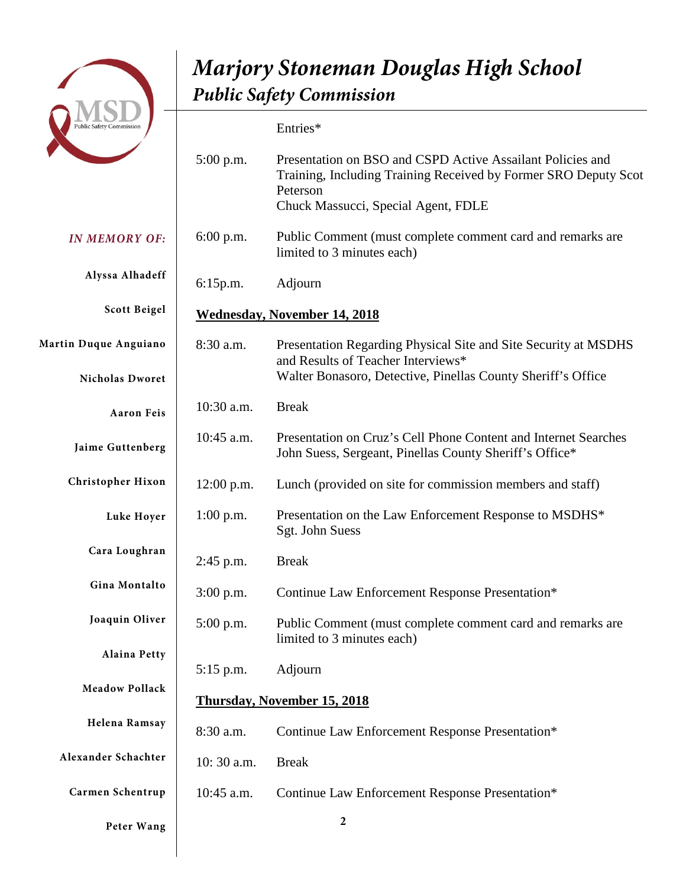

*IN MEMORY OF:* **Alyssa Alhadeff Scott Beigel Martin Duque Anguiano Nicholas Dworet Aaron Feis Jaime Guttenberg Christopher Hixon Luke Hoyer Cara Loughran Gina Montalto Joaquin Oliver Alaina Petty Meadow Pollack Helena Ramsay Alexander Schachter Carmen Schentrup** Entries\* 5:00 p.m. Presentation on BSO and CSPD Active Assailant Policies and Training, Including Training Received by Former SRO Deputy Scot Peterson Chuck Massucci, Special Agent, FDLE 6:00 p.m. Public Comment (must complete comment card and remarks are limited to 3 minutes each) 6:15p.m. Adjourn **Wednesday, November 14, 2018** 8:30 a.m. Presentation Regarding Physical Site and Site Security at MSDHS and Results of Teacher Interviews\* Walter Bonasoro, Detective, Pinellas County Sheriff's Office 10:30 a.m. Break 10:45 a.m. Presentation on Cruz's Cell Phone Content and Internet Searches John Suess, Sergeant, Pinellas County Sheriff's Office\* 12:00 p.m. Lunch (provided on site for commission members and staff) 1:00 p.m. Presentation on the Law Enforcement Response to MSDHS\* Sgt. John Suess 2:45 p.m. Break 3:00 p.m. Continue Law Enforcement Response Presentation\* 5:00 p.m. Public Comment (must complete comment card and remarks are limited to 3 minutes each) 5:15 p.m. Adjourn **Thursday, November 15, 2018** 8:30 a.m. Continue Law Enforcement Response Presentation\* 10: 30 a.m. Break 10:45 a.m. Continue Law Enforcement Response Presentation\*

**Peter Wang**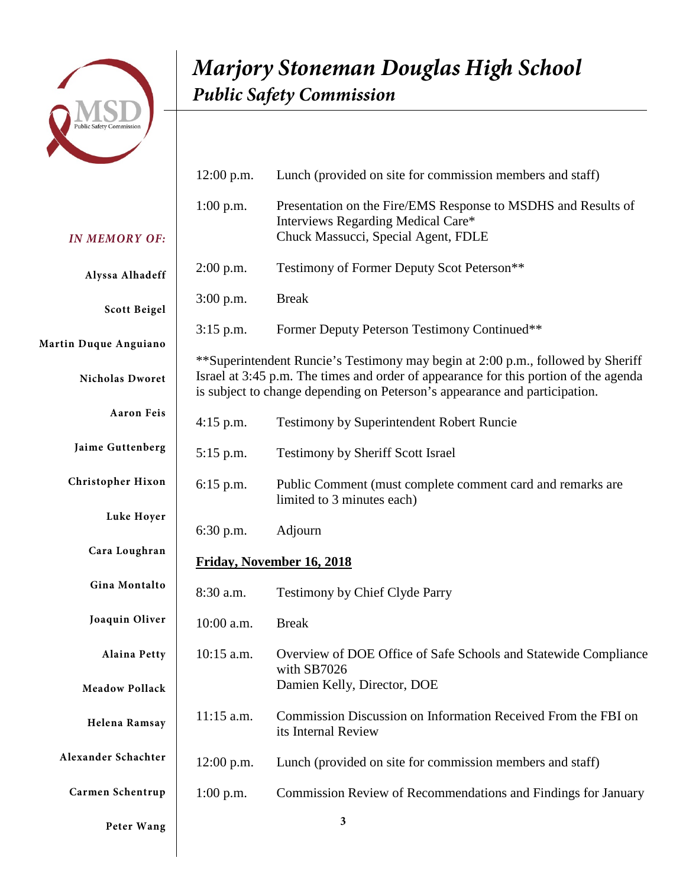

|                       | $12:00$ p.m.                                                                                                                                                                                                                                          | Lunch (provided on site for commission members and staff)                                           |
|-----------------------|-------------------------------------------------------------------------------------------------------------------------------------------------------------------------------------------------------------------------------------------------------|-----------------------------------------------------------------------------------------------------|
|                       | $1:00$ p.m.                                                                                                                                                                                                                                           | Presentation on the Fire/EMS Response to MSDHS and Results of<br>Interviews Regarding Medical Care* |
| <b>IN MEMORY OF:</b>  |                                                                                                                                                                                                                                                       | Chuck Massucci, Special Agent, FDLE                                                                 |
| Alyssa Alhadeff       | $2:00$ p.m.                                                                                                                                                                                                                                           | Testimony of Former Deputy Scot Peterson**                                                          |
| <b>Scott Beigel</b>   | $3:00$ p.m.                                                                                                                                                                                                                                           | <b>Break</b>                                                                                        |
| Martin Duque Anguiano | $3:15$ p.m.                                                                                                                                                                                                                                           | Former Deputy Peterson Testimony Continued**                                                        |
| Nicholas Dworet       | **Superintendent Runcie's Testimony may begin at 2:00 p.m., followed by Sheriff<br>Israel at 3:45 p.m. The times and order of appearance for this portion of the agenda<br>is subject to change depending on Peterson's appearance and participation. |                                                                                                     |
| <b>Aaron Feis</b>     | $4:15$ p.m.                                                                                                                                                                                                                                           | Testimony by Superintendent Robert Runcie                                                           |
| Jaime Guttenberg      | $5:15$ p.m.                                                                                                                                                                                                                                           | <b>Testimony by Sheriff Scott Israel</b>                                                            |
| Christopher Hixon     | $6:15$ p.m.                                                                                                                                                                                                                                           | Public Comment (must complete comment card and remarks are<br>limited to 3 minutes each)            |
| Luke Hoyer            | 6:30 p.m.                                                                                                                                                                                                                                             | Adjourn                                                                                             |
| Cara Loughran         | Friday, November 16, 2018                                                                                                                                                                                                                             |                                                                                                     |
| Gina Montalto         | 8:30 a.m.                                                                                                                                                                                                                                             | Testimony by Chief Clyde Parry                                                                      |
| Joaquin Oliver        | 10:00 a.m.                                                                                                                                                                                                                                            | <b>Break</b>                                                                                        |
| <b>Alaina Petty</b>   | $10:15$ a.m.                                                                                                                                                                                                                                          | Overview of DOE Office of Safe Schools and Statewide Compliance<br>with SB7026                      |
| <b>Meadow Pollack</b> |                                                                                                                                                                                                                                                       | Damien Kelly, Director, DOE                                                                         |
| Helena Ramsay         | 11:15 a.m.                                                                                                                                                                                                                                            | Commission Discussion on Information Received From the FBI on<br>its Internal Review                |
| Alexander Schachter   | $12:00$ p.m.                                                                                                                                                                                                                                          | Lunch (provided on site for commission members and staff)                                           |
| Carmen Schentrup      | $1:00$ p.m.                                                                                                                                                                                                                                           | Commission Review of Recommendations and Findings for January                                       |
| Peter Wang            |                                                                                                                                                                                                                                                       | $\mathbf{3}$                                                                                        |